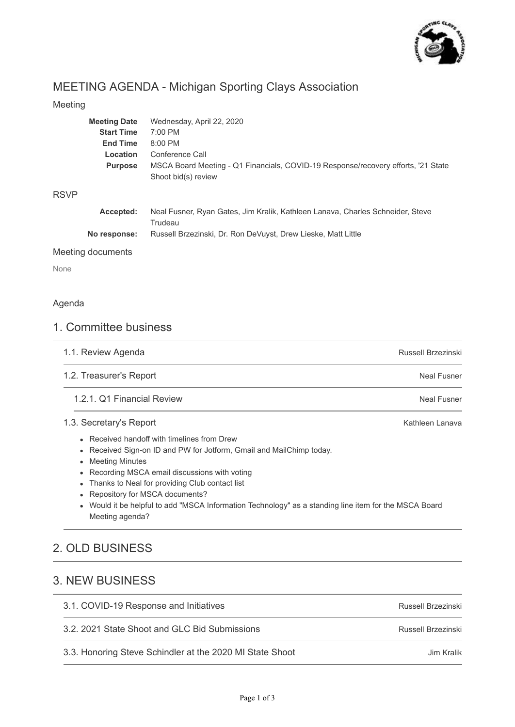

Jim Kralik

# MEETING AGENDA - Michigan Sporting Clays Association

## Meeting

| <b>Meeting Date</b> | Wednesday, April 22, 2020                                                                 |
|---------------------|-------------------------------------------------------------------------------------------|
| <b>Start Time</b>   | 7:00 PM                                                                                   |
| <b>End Time</b>     | 8:00 PM                                                                                   |
| Location            | Conference Call                                                                           |
| <b>Purpose</b>      | MSCA Board Meeting - Q1 Financials, COVID-19 Response/recovery efforts, '21 State         |
|                     | Shoot bid(s) review                                                                       |
|                     |                                                                                           |
| Accepted:           | Neal Fusner, Ryan Gates, Jim Kralik, Kathleen Lanava, Charles Schneider, Steve<br>Trudeau |
| No response:        | Russell Brzezinski, Dr. Ron DeVuyst, Drew Lieske, Matt Little                             |
|                     |                                                                                           |

## Meeting documents

None

RSVP

### Agenda

# 1. Committee business

| Neal Fusner                                                                                         |
|-----------------------------------------------------------------------------------------------------|
|                                                                                                     |
| Neal Fusner                                                                                         |
| Kathleen Lanava                                                                                     |
| Would it be helpful to add "MSCA Information Technology" as a standing line item for the MSCA Board |
|                                                                                                     |
|                                                                                                     |

# 3. NEW BUSINESS

| 3.1. COVID-19 Response and Initiatives        | Russell Brzezinski |
|-----------------------------------------------|--------------------|
| 3.2. 2021 State Shoot and GLC Bid Submissions | Russell Brzezinski |

3.2. 2021 State Shoot and GLC Bid Submissions

3.3. Honoring Steve Schindler at the 2020 MI State Shoot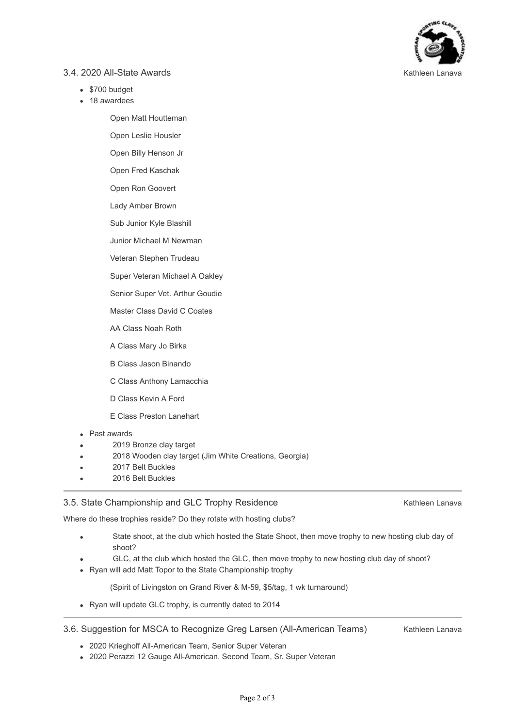

#### 3.4. 2020 All-State Awards

- \$700 budget
- 18 awardees

Open Matt Houtteman

Open Leslie Housler

Open Billy Henson Jr

Open Fred Kaschak

Open Ron Goovert

Lady Amber Brown

Sub Junior Kyle Blashill

Junior Michael M Newman

Veteran Stephen Trudeau

Super Veteran Michael A Oakley

Senior Super Vet. Arthur Goudie

Master Class David C Coates

AA Class Noah Roth

A Class Mary Jo Birka

B Class Jason Binando

C Class Anthony Lamacchia

D Class Kevin A Ford

E Class Preston Lanehart

#### Past awards  $\bullet$

- 2019 Bronze clay target
- 2018 Wooden clay target (Jim White Creations, Georgia)
- 2017 Belt Buckles
- 2016 Belt Buckles

#### 3.5. State Championship and GLC Trophy Residence

Kathleen Lanava

Where do these trophies reside? Do they rotate with hosting clubs?

- State shoot, at the club which hosted the State Shoot, then move trophy to new hosting club day of shoot?
	- GLC, at the club which hosted the GLC, then move trophy to new hosting club day of shoot?
- Ryan will add Matt Topor to the State Championship trophy

(Spirit of Livingston on Grand River & M-59, \$5/tag, 1 wk turnaround)

• Ryan will update GLC trophy, is currently dated to 2014

#### 3.6. Suggestion for MSCA to Recognize Greg Larsen (All-American Teams)

Kathleen Lanava

- 2020 Krieghoff All-American Team, Senior Super Veteran
- 2020 Perazzi 12 Gauge All-American, Second Team, Sr. Super Veteran